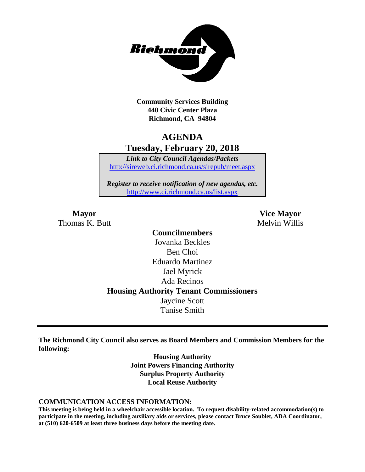

**Community Services Building 440 Civic Center Plaza Richmond, CA 94804**

# **AGENDA Tuesday, February 20, 2018**

*Link to City Council Agendas/Packets* <http://sireweb.ci.richmond.ca.us/sirepub/meet.aspx>

*Register to receive notification of new agendas, etc.* <http://www.ci.richmond.ca.us/list.aspx>

Thomas K. Butt Melvin Willis

**Mayor Vice Mayor**

**Councilmembers** Jovanka Beckles Ben Choi Eduardo Martinez Jael Myrick Ada Recinos **Housing Authority Tenant Commissioners** Jaycine Scott Tanise Smith

**The Richmond City Council also serves as Board Members and Commission Members for the following:**

> **Housing Authority Joint Powers Financing Authority Surplus Property Authority Local Reuse Authority**

#### **COMMUNICATION ACCESS INFORMATION:**

**This meeting is being held in a wheelchair accessible location. To request disability-related accommodation(s) to participate in the meeting, including auxiliary aids or services, please contact Bruce Soublet, ADA Coordinator, at (510) 620-6509 at least three business days before the meeting date.**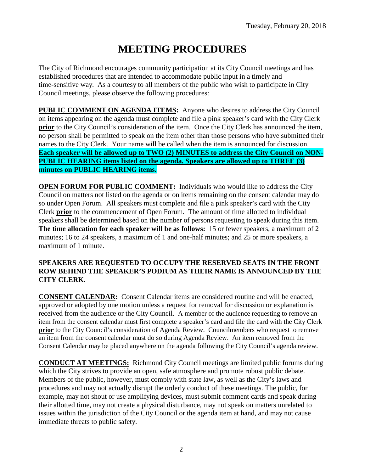# **MEETING PROCEDURES**

The City of Richmond encourages community participation at its City Council meetings and has established procedures that are intended to accommodate public input in a timely and time-sensitive way. As a courtesy to all members of the public who wish to participate in City Council meetings, please observe the following procedures:

**PUBLIC COMMENT ON AGENDA ITEMS:** Anyone who desires to address the City Council on items appearing on the agenda must complete and file a pink speaker's card with the City Clerk **prior** to the City Council's consideration of the item. Once the City Clerk has announced the item, no person shall be permitted to speak on the item other than those persons who have submitted their names to the City Clerk. Your name will be called when the item is announced for discussion. **Each speaker will be allowed up to TWO (2) MINUTES to address the City Council on NON-PUBLIC HEARING items listed on the agenda. Speakers are allowed up to THREE (3) minutes on PUBLIC HEARING items.**

**OPEN FORUM FOR PUBLIC COMMENT:** Individuals who would like to address the City Council on matters not listed on the agenda or on items remaining on the consent calendar may do so under Open Forum. All speakers must complete and file a pink speaker's card with the City Clerk **prior** to the commencement of Open Forum. The amount of time allotted to individual speakers shall be determined based on the number of persons requesting to speak during this item. **The time allocation for each speaker will be as follows:** 15 or fewer speakers, a maximum of 2 minutes; 16 to 24 speakers, a maximum of 1 and one-half minutes; and 25 or more speakers, a maximum of 1 minute.

### **SPEAKERS ARE REQUESTED TO OCCUPY THE RESERVED SEATS IN THE FRONT ROW BEHIND THE SPEAKER'S PODIUM AS THEIR NAME IS ANNOUNCED BY THE CITY CLERK.**

**CONSENT CALENDAR:** Consent Calendar items are considered routine and will be enacted, approved or adopted by one motion unless a request for removal for discussion or explanation is received from the audience or the City Council. A member of the audience requesting to remove an item from the consent calendar must first complete a speaker's card and file the card with the City Clerk **prior** to the City Council's consideration of Agenda Review. Councilmembers who request to remove an item from the consent calendar must do so during Agenda Review. An item removed from the Consent Calendar may be placed anywhere on the agenda following the City Council's agenda review.

**CONDUCT AT MEETINGS:** Richmond City Council meetings are limited public forums during which the City strives to provide an open, safe atmosphere and promote robust public debate. Members of the public, however, must comply with state law, as well as the City's laws and procedures and may not actually disrupt the orderly conduct of these meetings. The public, for example, may not shout or use amplifying devices, must submit comment cards and speak during their allotted time, may not create a physical disturbance, may not speak on matters unrelated to issues within the jurisdiction of the City Council or the agenda item at hand, and may not cause immediate threats to public safety.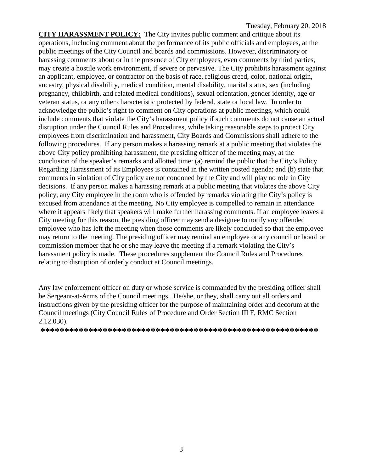**CITY HARASSMENT POLICY:** The City invites public comment and critique about its operations, including comment about the performance of its public officials and employees, at the public meetings of the City Council and boards and commissions. However, discriminatory or harassing comments about or in the presence of City employees, even comments by third parties, may create a hostile work environment, if severe or pervasive. The City prohibits harassment against an applicant, employee, or contractor on the basis of race, religious creed, color, national origin, ancestry, physical disability, medical condition, mental disability, marital status, sex (including pregnancy, childbirth, and related medical conditions), sexual orientation, gender identity, age or veteran status, or any other characteristic protected by federal, state or local law. In order to acknowledge the public's right to comment on City operations at public meetings, which could include comments that violate the City's harassment policy if such comments do not cause an actual disruption under the Council Rules and Procedures, while taking reasonable steps to protect City employees from discrimination and harassment, City Boards and Commissions shall adhere to the following procedures. If any person makes a harassing remark at a public meeting that violates the above City policy prohibiting harassment, the presiding officer of the meeting may, at the conclusion of the speaker's remarks and allotted time: (a) remind the public that the City's Policy Regarding Harassment of its Employees is contained in the written posted agenda; and (b) state that comments in violation of City policy are not condoned by the City and will play no role in City decisions. If any person makes a harassing remark at a public meeting that violates the above City policy, any City employee in the room who is offended by remarks violating the City's policy is excused from attendance at the meeting. No City employee is compelled to remain in attendance where it appears likely that speakers will make further harassing comments. If an employee leaves a City meeting for this reason, the presiding officer may send a designee to notify any offended employee who has left the meeting when those comments are likely concluded so that the employee may return to the meeting. The presiding officer may remind an employee or any council or board or commission member that he or she may leave the meeting if a remark violating the City's harassment policy is made. These procedures supplement the Council Rules and Procedures relating to disruption of orderly conduct at Council meetings.

Any law enforcement officer on duty or whose service is commanded by the presiding officer shall be Sergeant-at-Arms of the Council meetings. He/she, or they, shall carry out all orders and instructions given by the presiding officer for the purpose of maintaining order and decorum at the Council meetings (City Council Rules of Procedure and Order Section III F, RMC Section 2.12.030).

**\*\*\*\*\*\*\*\*\*\*\*\*\*\*\*\*\*\*\*\*\*\*\*\*\*\*\*\*\*\*\*\*\*\*\*\*\*\*\*\*\*\*\*\*\*\*\*\*\*\*\*\*\*\*\*\*\*\***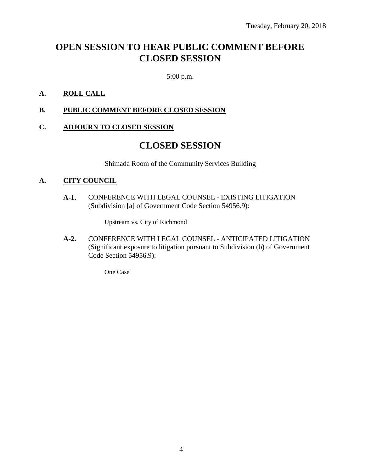# **OPEN SESSION TO HEAR PUBLIC COMMENT BEFORE CLOSED SESSION**

5:00 p.m.

### **A. ROLL CALL**

**B. PUBLIC COMMENT BEFORE CLOSED SESSION**

### **C. ADJOURN TO CLOSED SESSION**

## **CLOSED SESSION**

Shimada Room of the Community Services Building

### **A. CITY COUNCIL**

**A-1.** CONFERENCE WITH LEGAL COUNSEL - EXISTING LITIGATION (Subdivision [a] of Government Code Section 54956.9):

Upstream vs. City of Richmond

**A-2.** CONFERENCE WITH LEGAL COUNSEL - ANTICIPATED LITIGATION (Significant exposure to litigation pursuant to Subdivision (b) of Government Code Section 54956.9):

One Case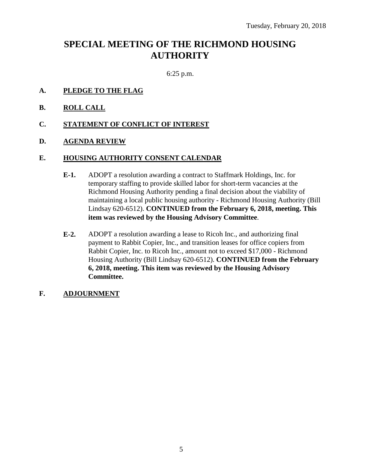# **SPECIAL MEETING OF THE RICHMOND HOUSING AUTHORITY**

6:25 p.m.

- **A. PLEDGE TO THE FLAG**
- **B. ROLL CALL**
- **C. STATEMENT OF CONFLICT OF INTEREST**
- **D. AGENDA REVIEW**

#### **E. HOUSING AUTHORITY CONSENT CALENDAR**

- **E-1.** ADOPT a resolution awarding a contract to Staffmark Holdings, Inc. for temporary staffing to provide skilled labor for short-term vacancies at the Richmond Housing Authority pending a final decision about the viability of maintaining a local public housing authority - Richmond Housing Authority (Bill Lindsay 620-6512). **CONTINUED from the February 6, 2018, meeting. This item was reviewed by the Housing Advisory Committee**.
- **E-2.** ADOPT a resolution awarding a lease to Ricoh Inc., and authorizing final payment to Rabbit Copier, Inc., and transition leases for office copiers from Rabbit Copier, Inc. to Ricoh Inc., amount not to exceed \$17,000 - Richmond Housing Authority (Bill Lindsay 620-6512). **CONTINUED from the February 6, 2018, meeting. This item was reviewed by the Housing Advisory Committee.**
- **F. ADJOURNMENT**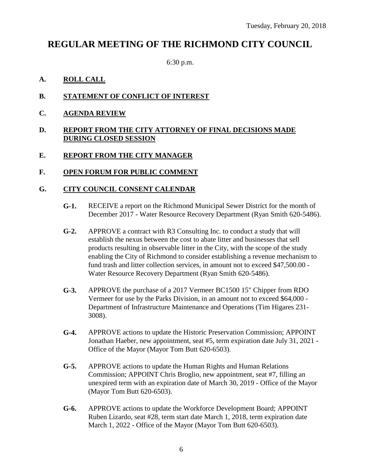# **REGULAR MEETING OF THE RICHMOND CITY COUNCIL**

6:30 p.m.

### **A. ROLL CALL**

- **B. STATEMENT OF CONFLICT OF INTEREST**
- **C. AGENDA REVIEW**

### **D. REPORT FROM THE CITY ATTORNEY OF FINAL DECISIONS MADE DURING CLOSED SESSION**

### **E. REPORT FROM THE CITY MANAGER**

### **F. OPEN FORUM FOR PUBLIC COMMENT**

### **G. CITY COUNCIL CONSENT CALENDAR**

- **G-1.** RECEIVE a report on the Richmond Municipal Sewer District for the month of December 2017 - Water Resource Recovery Department (Ryan Smith 620-5486).
- **G-2.** APPROVE a contract with R3 Consulting Inc. to conduct a study that will establish the nexus between the cost to abate litter and businesses that sell products resulting in observable litter in the City, with the scope of the study enabling the City of Richmond to consider establishing a revenue mechanism to fund trash and litter collection services, in amount not to exceed \$47,500.00 - Water Resource Recovery Department (Ryan Smith 620-5486).
- **G-3.** APPROVE the purchase of a 2017 Vermeer BC1500 15" Chipper from RDO Vermeer for use by the Parks Division, in an amount not to exceed \$64,000 - Department of Infrastructure Maintenance and Operations (Tim Higares 231- 3008).
- **G-4.** APPROVE actions to update the Historic Preservation Commission; APPOINT Jonathan Haeber, new appointment, seat #5, term expiration date July 31, 2021 - Office of the Mayor (Mayor Tom Butt 620-6503).
- **G-5.** APPROVE actions to update the Human Rights and Human Relations Commission; APPOINT Chris Broglio, new appointment, seat #7, filling an unexpired term with an expiration date of March 30, 2019 - Office of the Mayor (Mayor Tom Butt 620-6503).
- **G-6.** APPROVE actions to update the Workforce Development Board; APPOINT Ruben Lizardo, seat #28, term start date March 1, 2018, term expiration date March 1, 2022 - Office of the Mayor (Mayor Tom Butt 620-6503).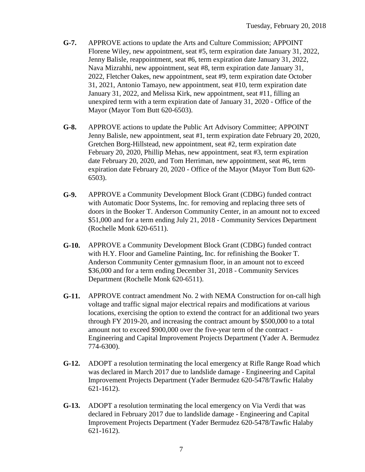- **G-7.** APPROVE actions to update the Arts and Culture Commission; APPOINT Florene Wiley, new appointment, seat #5, term expiration date January 31, 2022, Jenny Balisle, reappointment, seat #6, term expiration date January 31, 2022, Nava Mizrahhi, new appointment, seat #8, term expiration date January 31, 2022, Fletcher Oakes, new appointment, seat #9, term expiration date October 31, 2021, Antonio Tamayo, new appointment, seat #10, term expiration date January 31, 2022, and Melissa Kirk, new appointment, seat #11, filling an unexpired term with a term expiration date of January 31, 2020 - Office of the Mayor (Mayor Tom Butt 620-6503).
- **G-8.** APPROVE actions to update the Public Art Advisory Committee; APPOINT Jenny Balisle, new appointment, seat #1, term expiration date February 20, 2020, Gretchen Borg-Hillstead, new appointment, seat #2, term expiration date February 20, 2020, Phillip Mehas, new appointment, seat #3, term expiration date February 20, 2020, and Tom Herriman, new appointment, seat #6, term expiration date February 20, 2020 - Office of the Mayor (Mayor Tom Butt 620- 6503).
- **G-9.** APPROVE a Community Development Block Grant (CDBG) funded contract with Automatic Door Systems, Inc. for removing and replacing three sets of doors in the Booker T. Anderson Community Center, in an amount not to exceed \$51,000 and for a term ending July 21, 2018 - Community Services Department (Rochelle Monk 620-6511).
- **G-10.** APPROVE a Community Development Block Grant (CDBG) funded contract with H.Y. Floor and Gameline Painting, Inc. for refinishing the Booker T. Anderson Community Center gymnasium floor, in an amount not to exceed \$36,000 and for a term ending December 31, 2018 - Community Services Department (Rochelle Monk 620-6511).
- **G-11.** APPROVE contract amendment No. 2 with NEMA Construction for on-call high voltage and traffic signal major electrical repairs and modifications at various locations, exercising the option to extend the contract for an additional two years through FY 2019-20, and increasing the contract amount by \$500,000 to a total amount not to exceed \$900,000 over the five-year term of the contract - Engineering and Capital Improvement Projects Department (Yader A. Bermudez 774-6300).
- **G-12.** ADOPT a resolution terminating the local emergency at Rifle Range Road which was declared in March 2017 due to landslide damage - Engineering and Capital Improvement Projects Department (Yader Bermudez 620-5478/Tawfic Halaby 621-1612).
- **G-13.** ADOPT a resolution terminating the local emergency on Via Verdi that was declared in February 2017 due to landslide damage - Engineering and Capital Improvement Projects Department (Yader Bermudez 620-5478/Tawfic Halaby 621-1612).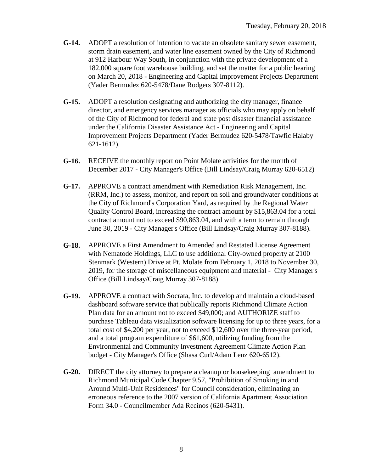- **G-14.** ADOPT a resolution of intention to vacate an obsolete sanitary sewer easement, storm drain easement, and water line easement owned by the City of Richmond at 912 Harbour Way South, in conjunction with the private development of a 182,000 square foot warehouse building, and set the matter for a public hearing on March 20, 2018 - Engineering and Capital Improvement Projects Department (Yader Bermudez 620-5478/Dane Rodgers 307-8112).
- **G-15.** ADOPT a resolution designating and authorizing the city manager, finance director, and emergency services manager as officials who may apply on behalf of the City of Richmond for federal and state post disaster financial assistance under the California Disaster Assistance Act - Engineering and Capital Improvement Projects Department (Yader Bermudez 620-5478/Tawfic Halaby 621-1612).
- **G-16.** RECEIVE the monthly report on Point Molate activities for the month of December 2017 - City Manager's Office (Bill Lindsay/Craig Murray 620-6512)
- **G-17.** APPROVE a contract amendment with Remediation Risk Management, Inc. (RRM, Inc.) to assess, monitor, and report on soil and groundwater conditions at the City of Richmond's Corporation Yard, as required by the Regional Water Quality Control Board, increasing the contract amount by \$15,863.04 for a total contract amount not to exceed \$90,863.04, and with a term to remain through June 30, 2019 - City Manager's Office (Bill Lindsay/Craig Murray 307-8188).
- **G-18.** APPROVE a First Amendment to Amended and Restated License Agreement with Nematode Holdings, LLC to use additional City-owned property at 2100 Stenmark (Western) Drive at Pt. Molate from February 1, 2018 to November 30, 2019, for the storage of miscellaneous equipment and material - City Manager's Office (Bill Lindsay/Craig Murray 307-8188)
- **G-19.** APPROVE a contract with Socrata, Inc. to develop and maintain a cloud-based dashboard software service that publically reports Richmond Climate Action Plan data for an amount not to exceed \$49,000; and AUTHORIZE staff to purchase Tableau data visualization software licensing for up to three years, for a total cost of \$4,200 per year, not to exceed \$12,600 over the three-year period, and a total program expenditure of \$61,600, utilizing funding from the Environmental and Community Investment Agreement Climate Action Plan budget - City Manager's Office (Shasa Curl/Adam Lenz 620-6512).
- **G-20.** DIRECT the city attorney to prepare a cleanup or housekeeping amendment to Richmond Municipal Code Chapter 9.57, "Prohibition of Smoking in and Around Multi-Unit Residences" for Council consideration, eliminating an erroneous reference to the 2007 version of California Apartment Association Form 34.0 - Councilmember Ada Recinos (620-5431).